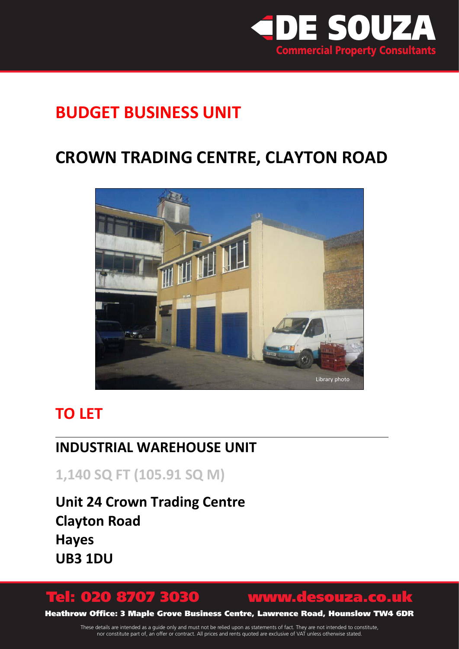

# **BUDGET BUSINESS UNIT**

# **CROWN TRADING CENTRE, CLAYTON ROAD**



## **TO LET**

## **INDUSTRIAL WAREHOUSE UNIT**

**1,140 SQ FT (105.91 SQ M)**

**Unit 24 Crown Trading Centre Clayton Road Hayes UB3 1DU**

# Tel: 020 8707 3030 www.desouza.co.uk

Heathrow Office: 3 Maple Grove Business Centre, Lawrence Road, Hounslow TW4 6DR

These details are intended as a guide only and must not be relied upon as statements of fact. They are not intended to constitute, nor constitute part of, an offer or contract. All prices and rents quoted are exclusive of VAT unless otherwise stated.